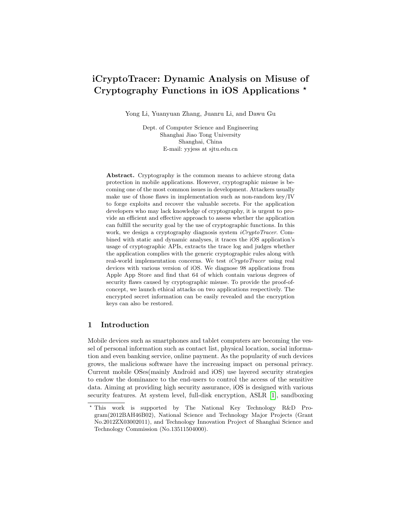# iCryptoTracer: Dynamic Analysis on Misuse of Cryptography Functions in iOS Applications ?

Yong Li, Yuanyuan Zhang, Juanru Li, and Dawu Gu

Dept. of Computer Science and Engineering Shanghai Jiao Tong University Shanghai, China E-mail: yyjess at sjtu.edu.cn

Abstract. Cryptography is the common means to achieve strong data protection in mobile applications. However, cryptographic misuse is becoming one of the most common issues in development. Attackers usually make use of those flaws in implementation such as non-random key/IV to forge exploits and recover the valuable secrets. For the application developers who may lack knowledge of cryptography, it is urgent to provide an efficient and effective approach to assess whether the application can fulfill the security goal by the use of cryptographic functions. In this work, we design a cryptography diagnosis system  $iCryptoTracer$ . Combined with static and dynamic analyses, it traces the iOS application's usage of cryptographic APIs, extracts the trace log and judges whether the application complies with the generic cryptographic rules along with real-world implementation concerns. We test  $iCryptoTracer$  using real devices with various version of iOS. We diagnose 98 applications from Apple App Store and find that 64 of which contain various degrees of security flaws caused by cryptographic misuse. To provide the proof-ofconcept, we launch ethical attacks on two applications respectively. The encrypted secret information can be easily revealed and the encryption keys can also be restored.

# 1 Introduction

Mobile devices such as smartphones and tablet computers are becoming the vessel of personal information such as contact list, physical location, social information and even banking service, online payment. As the popularity of such devices grows, the malicious software have the increasing impact on personal privacy. Current mobile OSes(mainly Android and iOS) use layered security strategies to endow the dominance to the end-users to control the access of the sensitive data. Aiming at providing high security assurance, iOS is designed with various security features. At system level, full-disk encryption, ASLR [\[1\]](#page-13-0), sandboxing

<sup>?</sup> This work is supported by The National Key Technology R&D Program(2012BAH46B02), National Science and Technology Major Projects (Grant No.2012ZX03002011), and Technology Innovation Project of Shanghai Science and Technology Commission (No.13511504000).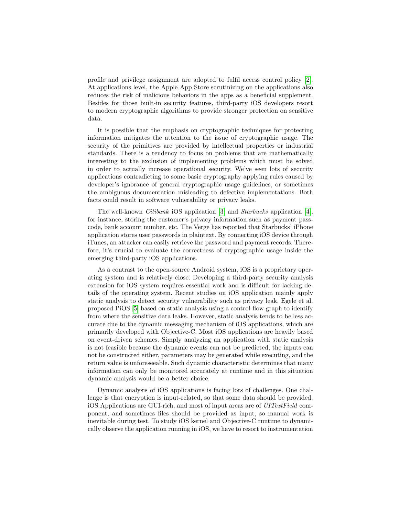profile and privilege assignment are adopted to fulfil access control policy [\[2\]](#page-13-1). At applications level, the Apple App Store scrutinizing on the applications also reduces the risk of malicious behaviors in the apps as a beneficial supplement. Besides for those built-in security features, third-party iOS developers resort to modern cryptographic algorithms to provide stronger protection on sensitive data.

It is possible that the emphasis on cryptographic techniques for protecting information mitigates the attention to the issue of cryptographic usage. The security of the primitives are provided by intellectual properties or industrial standards. There is a tendency to focus on problems that are mathematically interesting to the exclusion of implementing problems which must be solved in order to actually increase operational security. We've seen lots of security applications contradicting to some basic cryptography applying rules caused by developer's ignorance of general cryptographic usage guidelines, or sometimes the ambiguous documentation misleading to defective implementations. Both facts could result in software vulnerability or privacy leaks.

The well-known Citibank iOS application [\[3\]](#page-13-2) and Starbucks application [\[4\]](#page-13-3), for instance, storing the customer's privacy information such as payment passcode, bank account number, etc. The Verge has reported that Starbucks' iPhone application stores user passwords in plaintext. By connecting iOS device through iTunes, an attacker can easily retrieve the password and payment records. Therefore, it's crucial to evaluate the correctness of cryptographic usage inside the emerging third-party iOS applications.

As a contrast to the open-source Android system, iOS is a proprietary operating system and is relatively close. Developing a third-party security analysis extension for iOS system requires essential work and is difficult for lacking details of the operating system. Recent studies on iOS application mainly apply static analysis to detect security vulnerability such as privacy leak. Egele et al. proposed PiOS [\[5\]](#page-13-4) based on static analysis using a control-flow graph to identify from where the sensitive data leaks. However, static analysis tends to be less accurate due to the dynamic messaging mechanism of iOS applications, which are primarily developed with Objective-C. Most iOS applications are heavily based on event-driven schemes. Simply analyzing an application with static analysis is not feasible because the dynamic events can not be predicted, the inputs can not be constructed either, parameters may be generated while executing, and the return value is unforeseeable. Such dynamic characteristic determines that many information can only be monitored accurately at runtime and in this situation dynamic analysis would be a better choice.

Dynamic analysis of iOS applications is facing lots of challenges. One challenge is that encryption is input-related, so that some data should be provided. iOS Applications are GUI-rich, and most of input areas are of UITextField component, and sometimes files should be provided as input, so manual work is inevitable during test. To study iOS kernel and Objective-C runtime to dynamically observe the application running in iOS, we have to resort to instrumentation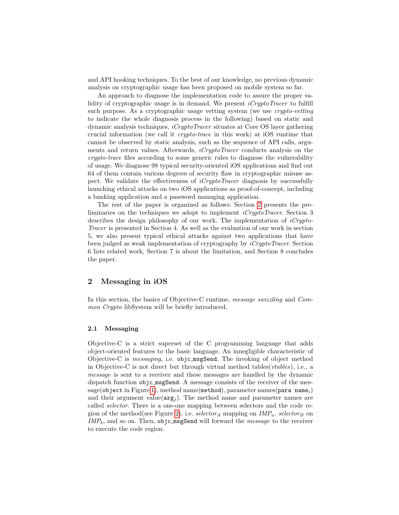and API hooking techniques. To the best of our knowledge, no previous dynamic analysis on cryptographic usage has been proposed on mobile system so far.

An approach to diagnose the implementation code to assure the proper validity of cryptographic usage is in demand. We present  $iCryptoTrace$  to fulfill such purpose. As a cryptographic usage vetting system (we use *crypto-vetting* to indicate the whole diagnosis process in the following) based on static and dynamic analysis techniques, iCryptoTracer situates at Core OS layer gathering crucial information (we call it crypto-trace in this work) at iOS runtime that cannot be observed by static analysis, such as the sequence of API calls, arguments and return values. Afterwards, *iCryptoTracer* conducts analysis on the crypto-trace files according to some generic rules to diagnose the vulnerability of usage. We diagnose 98 typical security-oriented iOS applications and find out 64 of them contain various degrees of security flaw in cryptographic misuse aspect. We validate the effectiveness of *iCryptoTracer* diagnosis by successfully launching ethical attacks on two iOS applications as proof-of-concept, including a banking application and a password managing application.

The rest of the paper is organized as follows: Section [2](#page-2-0) presents the preliminaries on the techniques we adopt to implement  $iCryptoTracer$ . Section 3 describes the design philosophy of our work. The implementation of *iCrypto*-Tracer is presented in Section 4. As well as the evaluation of our work in section 5, we also present typical ethical attacks against two applications that have been judged as weak implementation of cryptography by iCryptoTracer. Section 6 lists related work, Section 7 is about the limitation, and Section 8 concludes the paper.

## <span id="page-2-0"></span>2 Messaging in iOS

In this section, the basics of Objective-C runtime, message swizzling and Common Crypto libSystem will be briefly introduced.

## 2.1 Messaging

Objective-C is a strict superset of the C programming language that adds object-oriented features to the basic language. An innegligible characteristic of Objective-C is messaging, i.e. objc msgSend. The invoking of object method in Objective-C is not direct but through virtual method tables(*vtables*), i.e., a message is sent to a receiver and these messages are handled by the dynamic dispatch function objc\_msgSend. A message consists of the receiver of the mes-sage(object in Figure [1\)](#page-3-0), method name(method), parameter names(para name<sub>i</sub>) and their argument value( $arg_i$ ). The method name and parameter names are called selector. There is a one-one mapping between selectors and the code re-gion of the method(see Figure [2\)](#page-3-1), i.e. selector<sub>A</sub> mapping on  $IMP_a$ , selector<sub>B</sub> on  $IMP<sub>b</sub>$ , and so on. Then, objc msgSend will forward the *message* to the receiver to execute the code region.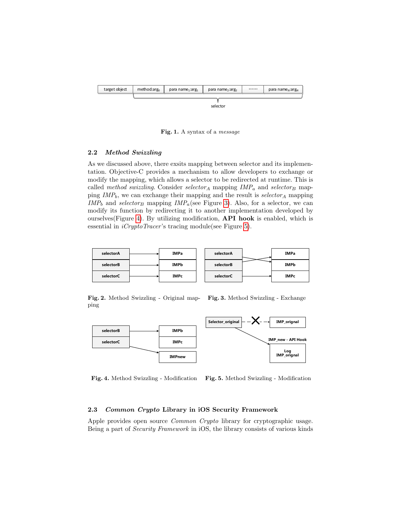

<span id="page-3-0"></span>Fig. 1. A syntax of a message

#### <span id="page-3-5"></span>2.2 Method Swizzling

As we discussed above, there exsits mapping between selector and its implementation. Objective-C provides a mechanism to allow developers to exchange or modify the mapping, which allows a selector to be redirected at runtime. This is called method swizzling. Consider selector<sub>A</sub> mapping  $IMP<sub>a</sub>$  and selector<sub>B</sub> mapping  $IMP_b$ , we can exchange their mapping and the result is selector<sub>A</sub> mapping  $IMP<sub>b</sub>$  and selector<sub>B</sub> mapping  $IMP<sub>a</sub>$ (see Figure [3\)](#page-3-2). Also, for a selector, we can modify its function by redirecting it to another implementation developed by ourselves(Figure [4\)](#page-3-3). By utilizing modification, API hook is enabled, which is essential in  $iCryptoTrace$ 's tracing module(see Figure [5\)](#page-3-4).

| selectorA | <b>IMPa</b> |  | selectorA | <b>IMPa</b> |
|-----------|-------------|--|-----------|-------------|
|           |             |  |           |             |
| selectorB | <b>IMPb</b> |  | selectorB | <b>IMPb</b> |
| selectorC | <b>IMPc</b> |  | selectorC | <b>IMPc</b> |
|           |             |  |           |             |

<span id="page-3-1"></span>Fig. 2. Method Swizzling - Original map- Fig. 3. Method Swizzling - Exchange ping



<span id="page-3-3"></span>Fig. 4. Method Swizzling - Modification

<span id="page-3-4"></span><span id="page-3-2"></span>Fig. 5. Method Swizzling - Modification

#### 2.3 Common Crypto Library in iOS Security Framework

Apple provides open source Common Crypto library for cryptographic usage. Being a part of Security Framework in iOS, the library consists of various kinds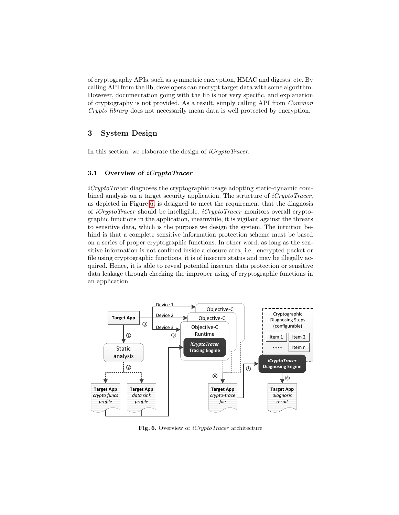of cryptography APIs, such as symmetric encryption, HMAC and digests, etc. By calling API from the lib, developers can encrypt target data with some algorithm. However, documentation going with the lib is not very specific, and explanation of cryptography is not provided. As a result, simply calling API from Common Crypto library does not necessarily mean data is well protected by encryption.

# <span id="page-4-1"></span>3 System Design

In this section, we elaborate the design of *iCryptoTracer*.

### 3.1 Overview of iCryptoTracer

iCryptoTracer diagnoses the cryptographic usage adopting static-dynamic combined analysis on a target security application. The structure of  $iCryptoTracer$ , as depicted in Figure [6,](#page-4-0) is designed to meet the requirement that the diagnosis of iCryptoTracer should be intelligible. iCryptoTracer monitors overall cryptographic functions in the application, meanwhile, it is vigilant against the threats to sensitive data, which is the purpose we design the system. The intuition behind is that a complete sensitive information protection scheme must be based on a series of proper cryptographic functions. In other word, as long as the sensitive information is not confined inside a closure area, i.e., encrypted packet or file using cryptographic functions, it is of insecure status and may be illegally acquired. Hence, it is able to reveal potential insecure data protection or sensitive data leakage through checking the improper using of cryptographic functions in an application.



<span id="page-4-0"></span>Fig. 6. Overview of iCryptoTracer architecture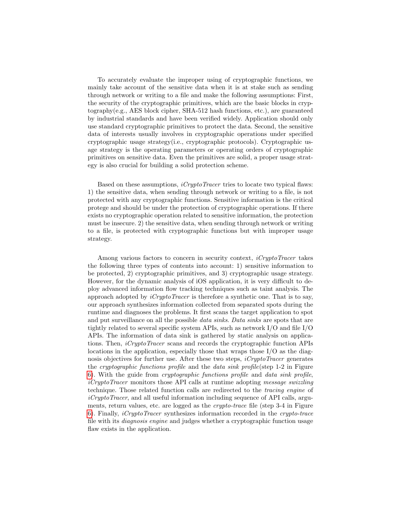To accurately evaluate the improper using of cryptographic functions, we mainly take account of the sensitive data when it is at stake such as sending through network or writing to a file and make the following assumptions: First, the security of the cryptographic primitives, which are the basic blocks in cryptography(e.g., AES block cipher, SHA-512 hash functions, etc.), are guaranteed by industrial standards and have been verified widely. Application should only use standard cryptographic primitives to protect the data. Second, the sensitive data of interests usually involves in cryptographic operations under specified cryptographic usage strategy(i.e., cryptographic protocols). Cryptographic usage strategy is the operating parameters or operating orders of cryptographic primitives on sensitive data. Even the primitives are solid, a proper usage strategy is also crucial for building a solid protection scheme.

Based on these assumptions, *iCryptoTracer* tries to locate two typical flaws: 1) the sensitive data, when sending through network or writing to a file, is not protected with any cryptographic functions. Sensitive information is the critical protege and should be under the protection of cryptographic operations. If there exists no cryptographic operation related to sensitive information, the protection must be insecure. 2) the sensitive data, when sending through network or writing to a file, is protected with cryptographic functions but with improper usage strategy.

Among various factors to concern in security context, *iCryptoTracer* takes the following three types of contents into account: 1) sensitive information to be protected, 2) cryptographic primitives, and 3) cryptographic usage strategy. However, for the dynamic analysis of iOS application, it is very difficult to deploy advanced information flow tracking techniques such as taint analysis. The approach adopted by  $iCryptoTracer$  is therefore a synthetic one. That is to say, our approach synthesizes information collected from separated spots during the runtime and diagnoses the problems. It first scans the target application to spot and put surveillance on all the possible *data sinks. Data sinks* are spots that are tightly related to several specific system APIs, such as network I/O and file I/O APIs. The information of data sink is gathered by static analysis on applications. Then, *iCryptoTracer* scans and records the cryptographic function APIs locations in the application, especially those that wraps those  $I/O$  as the diagnosis objectives for further use. After these two steps,  $iCryptoTracer$  generates the cryptographic functions profile and the data sink profile(step 1-2 in Figure [6\)](#page-4-0). With the guide from cryptographic functions profile and data sink profile, iCryptoTracer monitors those API calls at runtime adopting message swizzling technique. Those related function calls are redirected to the tracing engine of  $iCryptoTracer$ , and all useful information including sequence of API calls, arguments, return values, etc. are logged as the crypto-trace file (step 3-4 in Figure [6\)](#page-4-0). Finally,  $iCryptoTrace$  synthesizes information recorded in the *crypto-trace* file with its diagnosis engine and judges whether a cryptographic function usage flaw exists in the application.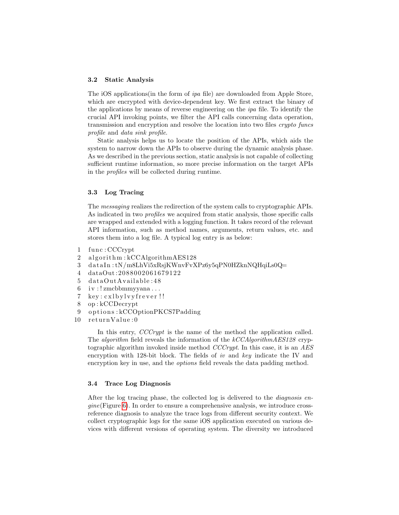#### 3.2 Static Analysis

The iOS applications(in the form of ipa file) are downloaded from Apple Store, which are encrypted with device-dependent key. We first extract the binary of the applications by means of reverse engineering on the ipa file. To identify the crucial API invoking points, we filter the API calls concerning data operation, transmission and encryption and resolve the location into two files crypto funcs profile and data sink profile.

Static analysis helps us to locate the position of the APIs, which aids the system to narrow down the APIs to observe during the dynamic analysis phase. As we described in the previous section, static analysis is not capable of collecting sufficient runtime information, so more precise information on the target APIs in the profiles will be collected during runtime.

#### 3.3 Log Tracing

The messaging realizes the redirection of the system calls to cryptographic APIs. As indicated in two *profiles* we acquired from static analysis, those specific calls are wrapped and extended with a logging function. It takes record of the relevant API information, such as method names, arguments, return values, etc. and stores them into a log file. A typical log entry is as below:

- 1 func : CCCrypt
- 2 algorithm: $kCCAlgorithmAES128$
- 3 dataIn:tN/m8LhVi5xRsjKWnvFvXPz6y5qPN0HZknNQHqiLs0Q=
- 4 dataOut:2088002061679122
- 5 dataOutAvailable:48
- $6$  iv : ! zmcbbmmyyana . . .
- 7 key: cxlbylvyfrever !!
- 8 op : kCCDecrypt
- 9 options: kCCOptionPKCS7Padding
- $10$  returnValue: 0

In this entry, *CCCrypt* is the name of the method the application called. The *algorithm* field reveals the information of the kCCAlgorithmAES128 cryptographic algorithm invoked inside method  $CCCrypt$ . In this case, it is an AES encryption with 128-bit block. The fields of iv and key indicate the IV and encryption key in use, and the options field reveals the data padding method.

#### 3.4 Trace Log Diagnosis

After the log tracing phase, the collected log is delivered to the *diagnosis en*- $\text{qine}(\text{Figure 6})$ . In order to ensure a comprehensive analysis, we introduce crossreference diagnosis to analyze the trace logs from different security context. We collect cryptographic logs for the same iOS application executed on various devices with different versions of operating system. The diversity we introduced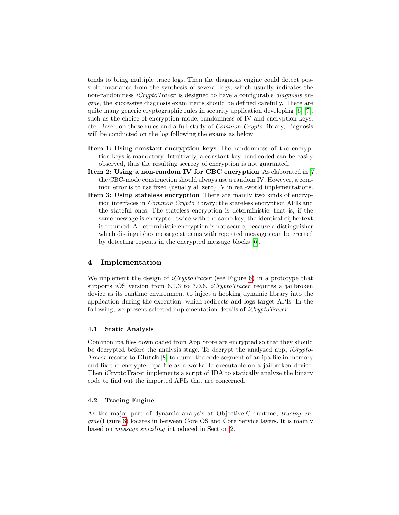tends to bring multiple trace logs. Then the diagnosis engine could detect possible invariance from the synthesis of several logs, which usually indicates the non-randomness  $iCryptoTracer$  is designed to have a configurable *diagnosis en*gine, the successive diagnosis exam items should be defined carefully. There are quite many generic cryptographic rules in security application developing [\[6\]](#page-13-5) [\[7\]](#page-13-6), such as the choice of encryption mode, randomness of IV and encryption keys, etc. Based on those rules and a full study of Common Crypto library, diagnosis will be conducted on the log following the exams as below:

- Item 1: Using constant encryption keys The randomness of the encryption keys is mandatory. Intuitively, a constant key hard-coded can be easily observed, thus the resulting secrecy of encryption is not guaranted.
- Item 2: Using a non-random IV for CBC encryption As elaborated in [\[7\]](#page-13-6), the CBC-mode construction should always use a random IV. However, a common error is to use fixed (usually all zero) IV in real-world implementations.
- Item 3: Using stateless encryption There are mainly two kinds of encryption interfaces in Common Crypto library: the stateless encryption APIs and the stateful ones. The stateless encryption is deterministic, that is, if the same message is encrypted twice with the same key, the identical ciphertext is returned. A deterministic encryption is not secure, because a distinguisher which distinguishes message streams with repeated messages can be created by detecting repeats in the encrypted message blocks [\[6\]](#page-13-5).

# 4 Implementation

We implement the design of  $iCryptoTracer$  (see Figure [6\)](#page-4-0) in a prototype that supports iOS version from 6.1.3 to 7.0.6. *iCryptoTracer* requires a jailbroken device as its runtime environment to inject a hooking dynamic library into the application during the execution, which redirects and logs target APIs. In the following, we present selected implementation details of iCryptoTracer.

#### 4.1 Static Analysis

Common ipa files downloaded from App Store are encrypted so that they should be decrypted before the analysis stage. To decrypt the analyzed app,  $iCrypto$ -Tracer resorts to Clutch [\[8\]](#page-13-7) to dump the code segment of an ipa file in memory and fix the encrypted ipa file as a workable executable on a jailbroken device. Then iCryptoTracer implements a script of IDA to statically analyze the binary code to find out the imported APIs that are concerned.

## 4.2 Tracing Engine

As the major part of dynamic analysis at Objective-C runtime, tracing engine(Figure [6\)](#page-4-0) locates in between Core OS and Core Service layers. It is mainly based on message swizzling introduced in Section [2.](#page-2-0)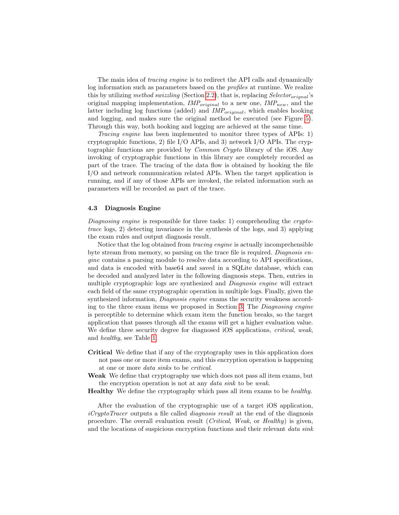The main idea of tracing engine is to redirect the API calls and dynamically log information such as parameters based on the profiles at runtime. We realize this by utilizing method swizzling (Section [2.2\)](#page-3-5), that is, replacing  $Selector_{original}$ 's original mapping implementation,  $IMP_{original}$  to a new one,  $IMP_{new}$ , and the latter including log functions (added) and  $IMP_{original}$ , which enables hooking and logging, and makes sure the original method be executed (see Figure [5\)](#page-3-4). Through this way, both hooking and logging are achieved at the same time.

Tracing engine has been implemented to monitor three types of APIs: 1) cryptographic functions, 2) file I/O APIs, and 3) network I/O APIs. The cryptographic functions are provided by Common Crypto library of the iOS. Any invoking of cryptographic functions in this library are completely recorded as part of the trace. The tracing of the data flow is obtained by hooking the file I/O and network communication related APIs. When the target application is running, and if any of those APIs are invoked, the related information such as parameters will be recorded as part of the trace.

#### 4.3 Diagnosis Engine

Diagnosing engine is responsible for three tasks: 1) comprehending the *crypto*trace logs, 2) detecting invariance in the synthesis of the logs, and 3) applying the exam rules and output diagnosis result.

Notice that the log obtained from tracing engine is actually incomprehensible byte stream from memory, so parsing on the trace file is required. Diagnosis engine contains a parsing module to resolve data according to API specifications, and data is encoded with base64 and saved in a SQLite database, which can be decoded and analyzed later in the following diagnosis steps. Then, entries in multiple cryptographic logs are synthesized and *Diagnosis engine* will extract each field of the same cryptographic operation in multiple logs. Finally, given the synthesized information, *Diagnosis engine* exams the security weakness according to the three exam items we proposed in Section [3.](#page-4-1) The Diagnosing engine is perceptible to determine which exam item the function breaks, so the target application that passes through all the exams will get a higher evaluation value. We define three security degree for diagnosed iOS applications, *critical, weak*, and healthy, see Table [1.](#page-9-0)

- Critical We define that if any of the cryptography uses in this application does not pass one or more item exams, and this encryption operation is happening at one or more data sinks to be critical.
- Weak We define that cryptography use which does not pass all item exams, but the encryption operation is not at any *data sink* to be *weak*.
- Healthy We define the cryptography which pass all item exams to be healthy.

After the evaluation of the cryptographic use of a target iOS application, iCryptoTracer outputs a file called diagnosis result at the end of the diagnosis procedure. The overall evaluation result (Critical, Weak, or Healthy) is given, and the locations of suspicious encryption functions and their relevant *data sink*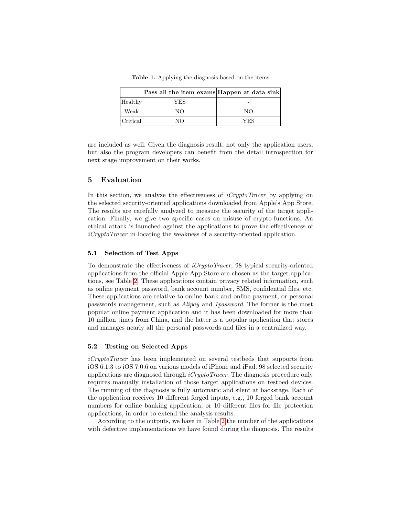|                    | Pass all the item exams Happen at data sink |     |
|--------------------|---------------------------------------------|-----|
| Healthy            | YES.                                        |     |
| Weak               | NΩ                                          | N() |
| $ {\rm Critical} $ | NΩ                                          | YES |

<span id="page-9-0"></span>Table 1. Applying the diagnosis based on the items

are included as well. Given the diagnosis result, not only the application users, but also the program developers can benefit from the detail introspection for next stage improvement on their works.

# 5 Evaluation

In this section, we analyze the effectiveness of  $iCryptoTracer$  by applying on the selected security-oriented applications downloaded from Apple's App Store. The results are carefully analyzed to measure the security of the target application. Finally, we give two specific cases on misuse of crypto-functions. An ethical attack is launched against the applications to prove the effectiveness of iCryptoTracer in locating the weakness of a security-oriented application.

# 5.1 Selection of Test Apps

To demonstrate the effectiveness of iCryptoTracer, 98 typical security-oriented applications from the official Apple App Store are chosen as the target applications, see Table [2.](#page-10-0) These applications contain privacy related information, such as online payment password, bank account number, SMS, confidential files, etc. These applications are relative to online bank and online payment, or personal passwords management, such as Alipay and 1password. The former is the most popular online payment application and it has been downloaded for more than 10 million times from China, and the latter is a popular application that stores and manages nearly all the personal passwords and files in a centralized way.

### 5.2 Testing on Selected Apps

iCryptoTracer has been implemented on several testbeds that supports from iOS 6.1.3 to iOS 7.0.6 on various models of iPhone and iPad. 98 selected security applications are diagnosed through  $iCryptoTrace$ . The diagnosis procedure only requires manually installation of those target applications on testbed devices. The running of the diagnosis is fully automatic and silent at backstage. Each of the application receives 10 different forged inputs, e.g., 10 forged bank account numbers for online banking application, or 10 different files for file protection applications, in order to extend the analysis results.

According to the outputs, we have in Table [2](#page-10-0) the number of the applications with defective implementations we have found during the diagnosis. The results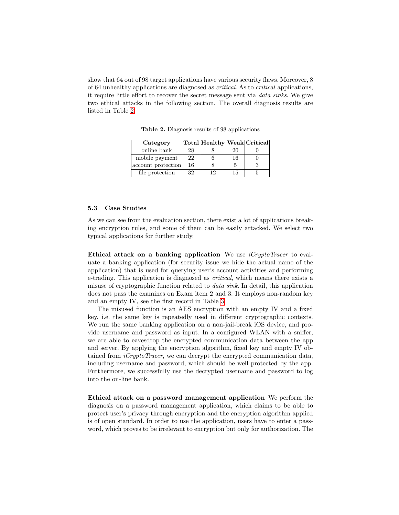show that 64 out of 98 target applications have various security flaws. Moreover, 8 of 64 unhealthy applications are diagnosed as critical. As to critical applications, it require little effort to recover the secret message sent via data sinks. We give two ethical attacks in the following section. The overall diagnosis results are listed in Table [2.](#page-10-0)

<span id="page-10-0"></span>Table 2. Diagnosis results of 98 applications

| Category           |    | Total Healthy Weak Critical |    |  |
|--------------------|----|-----------------------------|----|--|
| online bank        | 28 |                             | 20 |  |
| mobile payment     | 22 |                             | 16 |  |
| account protection | 16 |                             |    |  |
| file protection    | 32 | 19                          | 15 |  |

#### 5.3 Case Studies

As we can see from the evaluation section, there exist a lot of applications breaking encryption rules, and some of them can be easily attacked. We select two typical applications for further study.

Ethical attack on a banking application We use  $iCryptoTracer$  to evaluate a banking application (for security issue we hide the actual name of the application) that is used for querying user's account activities and performing e-trading. This application is diagnosed as critical, which means there exists a misuse of cryptographic function related to data sink. In detail, this application does not pass the examines on Exam item 2 and 3. It employs non-random key and an empty IV, see the first record in Table [3.](#page-11-0)

The misused function is an AES encryption with an empty IV and a fixed key, i.e. the same key is repeatedly used in different cryptographic contexts. We run the same banking application on a non-jail-break iOS device, and provide username and password as input. In a configured WLAN with a sniffer, we are able to eavesdrop the encrypted communication data between the app and server. By applying the encryption algorithm, fixed key and empty IV obtained from *iCryptoTracer*, we can decrypt the encrypted communication data, including username and password, which should be well protected by the app. Furthermore, we successfully use the decrypted username and password to log into the on-line bank.

Ethical attack on a password management application We perform the diagnosis on a password management application, which claims to be able to protect user's privacy through encryption and the encryption algorithm applied is of open standard. In order to use the application, users have to enter a password, which proves to be irrelevant to encryption but only for authorization. The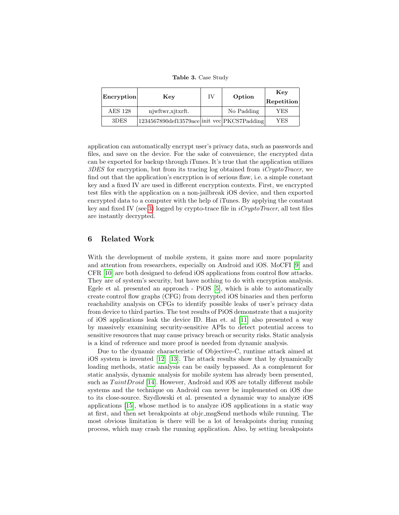<span id="page-11-0"></span>Table 3. Case Study

| Encryption     | Key                                          | IV | Option     | Key<br>$ \mathrm{Repetition} $ |
|----------------|----------------------------------------------|----|------------|--------------------------------|
| <b>AES</b> 128 | njwftwr,xjtxrft.                             |    | No Padding | YES                            |
| 3DES           | [1234567890def13579ace]init vec PKCS7Padding |    |            | YES                            |

application can automatically encrypt user's privacy data, such as passwords and files, and save on the device. For the sake of convenience, the encrypted data can be exported for backup through iTunes. It's true that the application utilizes  $3DES$  for encryption, but from its tracing log obtained from *iCryptoTracer*, we find out that the application's encryption is of serious flaw, i.e. a simple constant key and a fixed IV are used in different encryption contexts. First, we encrypted test files with the application on a non-jailbreak iOS device, and then exported encrypted data to a computer with the help of iTunes. By applying the constant key and fixed IV (see [3\)](#page-11-0) logged by crypto-trace file in  $iCryptoTracer$ , all test files are instantly decrypted.

# 6 Related Work

With the development of mobile system, it gains more and more popularity and attention from researchers, especially on Android and iOS. MoCFI [\[9\]](#page-13-8) and CFR [\[10\]](#page-13-9) are both designed to defend iOS applications from control flow attacks. They are of system's security, but have nothing to do with encryption analysis. Egele et al. presented an approach - PiOS [\[5\]](#page-13-4), which is able to automatically create control flow graphs (CFG) from decrypted iOS binaries and then perform reachability analysis on CFGs to identify possible leaks of user's privacy data from device to third parties. The test results of PiOS demonstrate that a majority of iOS applications leak the device ID. Han et. al [\[11\]](#page-13-10) also presented a way by massively examining security-sensitive APIs to detect potential access to sensitive resources that may cause privacy breach or security risks. Static analysis is a kind of reference and more proof is needed from dynamic analysis.

Due to the dynamic characteristic of Objective-C, runtime attack aimed at iOS system is invented [\[12\]](#page-13-11) [\[13\]](#page-13-12). The attack results show that by dynamically loading methods, static analysis can be easily bypassed. As a complement for static analysis, dynamic analysis for mobile system has already been presented, such as  $TaintDroid$  [\[14\]](#page-13-13). However, Android and iOS are totally different mobile systems and the technique on Android can never be implemented on iOS due to its close-source. Szydlowski et al. presented a dynamic way to analyze iOS applications [\[15\]](#page-14-0), whose method is to analyze iOS applications in a static way at first, and then set breakpoints at objc msgSend methods while running. The most obvious limitation is there will be a lot of breakpoints during running process, which may crash the running application. Also, by setting breakpoints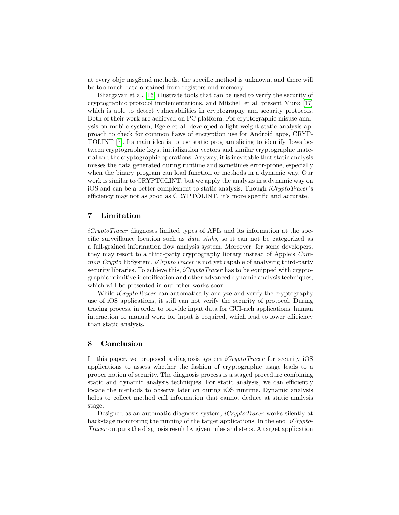at every objc msgSend methods, the specific method is unknown, and there will be too much data obtained from registers and memory.

Bhargavan et al. [\[16\]](#page-14-1) illustrate tools that can be used to verify the security of cryptographic protocol implementations, and Mitchell et al. present Mur $\varphi$  [\[17\]](#page-14-2) which is able to detect vulnerabilities in cryptography and security protocols. Both of their work are achieved on PC platform. For cryptographic misuse analysis on mobile system, Egele et al. developed a light-weight static analysis approach to check for common flaws of encryption use for Android apps, CRYP-TOLINT [\[7\]](#page-13-6). Its main idea is to use static program slicing to identify flows between cryptographic keys, initialization vectors and similar cryptographic material and the cryptographic operations. Anyway, it is inevitable that static analysis misses the data generated during runtime and sometimes error-prone, especially when the binary program can load function or methods in a dynamic way. Our work is similar to CRYPTOLINT, but we apply the analysis in a dynamic way on iOS and can be a better complement to static analysis. Though *iCryptoTracer's* efficiency may not as good as CRYPTOLINT, it's more specific and accurate.

# 7 Limitation

iCryptoTracer diagnoses limited types of APIs and its information at the specific surveillance location such as data sinks, so it can not be categorized as a full-grained information flow analysis system. Moreover, for some developers, they may resort to a third-party cryptography library instead of Apple's Common Crypto libSystem, *iCryptoTracer* is not yet capable of analysing third-party security libraries. To achieve this,  $iCryptoTracer$  has to be equipped with cryptographic primitive identification and other advanced dynamic analysis techniques, which will be presented in our other works soon.

While *iCryptoTracer* can automatically analyze and verify the cryptography use of iOS applications, it still can not verify the security of protocol. During tracing process, in order to provide input data for GUI-rich applications, human interaction or manual work for input is required, which lead to lower efficiency than static analysis.

# 8 Conclusion

In this paper, we proposed a diagnosis system  $iCruptoTrace$  for security iOS applications to assess whether the fashion of cryptographic usage leads to a proper notion of security. The diagnosis process is a staged procedure combining static and dynamic analysis techniques. For static analysis, we can efficiently locate the methods to observe later on during iOS runtime. Dynamic analysis helps to collect method call information that cannot deduce at static analysis stage.

Designed as an automatic diagnosis system, *iCryptoTracer* works silently at backstage monitoring the running of the target applications. In the end,  $iCrypto-$ Tracer outputs the diagnosis result by given rules and steps. A target application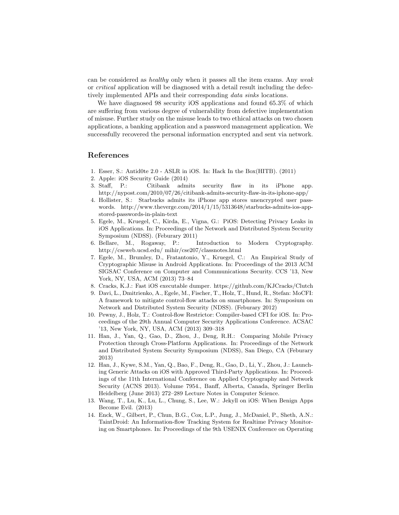can be considered as healthy only when it passes all the item exams. Any weak or critical application will be diagnosed with a detail result including the defectively implemented APIs and their corresponding data sinks locations.

We have diagnosed 98 security iOS applications and found 65.3% of which are suffering from various degree of vulnerability from defective implementation of misuse. Further study on the misuse leads to two ethical attacks on two chosen applications, a banking application and a password management application. We successfully recovered the personal information encrypted and sent via network.

# References

- <span id="page-13-0"></span>1. Esser, S.: Antid0te 2.0 - ASLR in iOS. In: Hack In the Box(HITB). (2011)
- <span id="page-13-1"></span>2. Apple: iOS Security Guide (2014)
- <span id="page-13-2"></span>3. Staff, P.: Citibank admits security flaw in its iPhone app. http://nypost.com/2010/07/26/citibank-admits-security-flaw-in-its-iphone-app/
- <span id="page-13-3"></span>4. Hollister, S.: Starbucks admits its iPhone app stores unencrypted user passwords. http://www.theverge.com/2014/1/15/5313648/starbucks-admits-ios-appstored-passwords-in-plain-text
- <span id="page-13-4"></span>5. Egele, M., Kruegel, C., Kirda, E., Vigna, G.: PiOS: Detecting Privacy Leaks in iOS Applications. In: Proceedings of the Network and Distributed System Security Symposium (NDSS). (Feburary 2011)
- <span id="page-13-5"></span>6. Bellare, M., Rogaway, P.: Introduction to Modern Cryptography. http://cseweb.ucsd.edu/ mihir/cse207/classnotes.html
- <span id="page-13-6"></span>7. Egele, M., Brumley, D., Fratantonio, Y., Kruegel, C.: An Empirical Study of Cryptographic Misuse in Android Applications. In: Proceedings of the 2013 ACM SIGSAC Conference on Computer and Communications Security. CCS '13, New York, NY, USA, ACM (2013) 73–84
- <span id="page-13-7"></span>8. Cracks, K.J.: Fast iOS executable dumper. https://github.com/KJCracks/Clutch
- <span id="page-13-8"></span>9. Davi, L., Dmitrienko, A., Egele, M., Fischer, T., Holz, T., Hund, R., Stefan: MoCFI: A framework to mitigate control-flow attacks on smartphones. In: Symposium on Network and Distributed System Security (NDSS). (Feburary 2012)
- <span id="page-13-9"></span>10. Pewny, J., Holz, T.: Control-flow Restrictor: Compiler-based CFI for iOS. In: Proceedings of the 29th Annual Computer Security Applications Conference. ACSAC '13, New York, NY, USA, ACM (2013) 309–318
- <span id="page-13-10"></span>11. Han, J., Yan, Q., Gao, D., Zhou, J., Deng, R.H.: Comparing Mobile Privacy Protection through Cross-Platform Applications. In: Proceedings of the Network and Distributed System Security Symposium (NDSS), San Diego, CA (Feburary 2013)
- <span id="page-13-11"></span>12. Han, J., Kywe, S.M., Yan, Q., Bao, F., Deng, R., Gao, D., Li, Y., Zhou, J.: Launching Generic Attacks on iOS with Approved Third-Party Applications. In: Proceedings of the 11th International Conference on Applied Cryptography and Network Security (ACNS 2013). Volume 7954., Banff, Alberta, Canada, Springer Berlin Heidelberg (June 2013) 272–289 Lecture Notes in Computer Science.
- <span id="page-13-12"></span>13. Wang, T., Lu, K., Lu, L., Chung, S., Lee, W.: Jekyll on iOS: When Benign Apps Become Evil. (2013)
- <span id="page-13-13"></span>14. Enck, W., Gilbert, P., Chun, B.G., Cox, L.P., Jung, J., McDaniel, P., Sheth, A.N.: TaintDroid: An Information-flow Tracking System for Realtime Privacy Monitoring on Smartphones. In: Proceedings of the 9th USENIX Conference on Operating